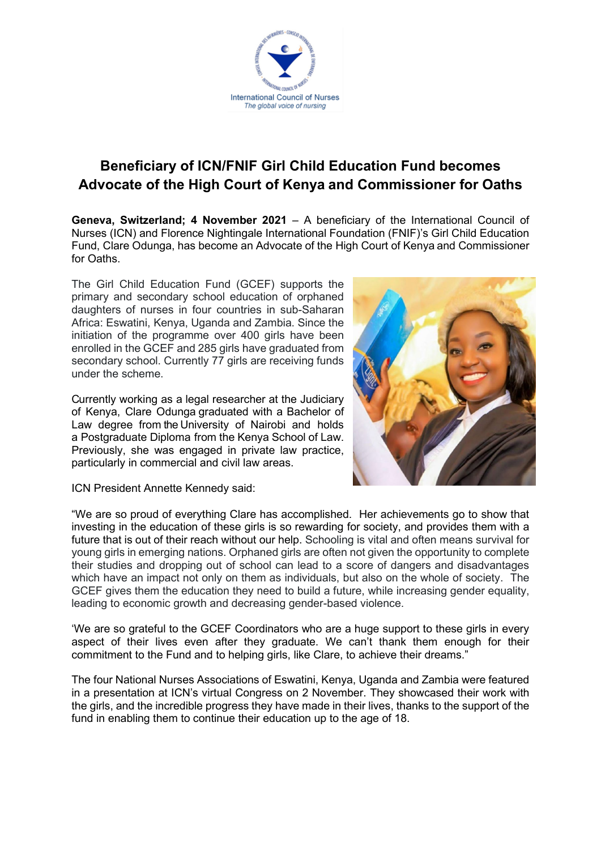

## **Beneficiary of ICN/FNIF Girl Child Education Fund becomes Advocate of the High Court of Kenya and Commissioner for Oaths**

**Geneva, Switzerland; 4 November 2021** – A beneficiary of the International Council of Nurses (ICN) and Florence Nightingale International Foundation (FNIF)'s Girl Child Education Fund, Clare Odunga, has become an Advocate of the High Court of Kenya and Commissioner for Oaths.

The Girl Child Education Fund (GCEF) supports the primary and secondary school education of orphaned daughters of nurses in four countries in sub-Saharan Africa: Eswatini, Kenya, Uganda and Zambia. Since the initiation of the programme over 400 girls have been enrolled in the GCEF and 285 girls have graduated from secondary school. Currently 77 girls are receiving funds under the scheme.

Currently working as a legal researcher at the Judiciary of Kenya, Clare Odunga graduated with a Bachelor of Law degree from the University of Nairobi and holds a Postgraduate Diploma from the Kenya School of Law. Previously, she was engaged in private law practice, particularly in commercial and civil law areas.



ICN President Annette Kennedy said:

"We are so proud of everything Clare has accomplished. Her achievements go to show that investing in the education of these girls is so rewarding for society, and provides them with a future that is out of their reach without our help. Schooling is vital and often means survival for young girls in emerging nations. Orphaned girls are often not given the opportunity to complete their studies and dropping out of school can lead to a score of dangers and disadvantages which have an impact not only on them as individuals, but also on the whole of society. The GCEF gives them the education they need to build a future, while increasing gender equality, leading to economic growth and decreasing gender-based violence.

'We are so grateful to the GCEF Coordinators who are a huge support to these girls in every aspect of their lives even after they graduate. We can't thank them enough for their commitment to the Fund and to helping girls, like Clare, to achieve their dreams."

The four National Nurses Associations of Eswatini, Kenya, Uganda and Zambia were featured in a presentation at ICN's virtual Congress on 2 November. They showcased their work with the girls, and the incredible progress they have made in their lives, thanks to the support of the fund in enabling them to continue their education up to the age of 18.